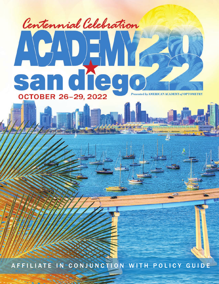# Centennial Celebration  $\frac{1}{2}$ ND die **san OCTOBER 26-29, 2022** ented by AMERICAN ACADEM **DMETRY**

A F FILIATE IN CONJUNCTION WITH POLICY GUIDE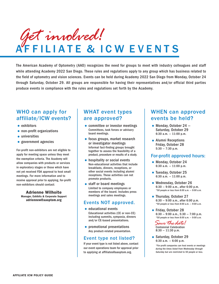AFFILIATE & ICW EVENTS *Get involved!*

The American Academy of Optometry (AAO) recognizes the need for groups to meet with industry colleagues and staff while attending Academy 2022 San Diego. These rules and regulations apply to any group which has business related to the field of optometry and vision sciences. Events can be held during Academy 2022 San Diego from Monday, October 24 through Saturday, October 29. All groups are responsible for having their representatives and/or official third parties produce events in compliance with the rules and regulations set forth by the Academy.

## WHO can apply for affiliate/ICW events?

- $\bullet$  exhibitors
- non-profit organizations
- **•** universities
- government agencies

For-profit non-exhibitors are not eligible to apply for meeting space unless they meet the exemption criteria. The Academy will allow companies with products or services in exploratory stages or those which have not yet received FDA approval to host small meetings. For more information and to receive approval prior to applying, for-profit non-exhibitors should contact:

#### **Adrienne Wilhoite Manager, Exhibits & Corporate Support adriennew@aaoptom.org**

## WHAT event types are approved?

- committee or investor meetings Committees, task forces or advisory board meetings.
- focus groups, market research or investigator meetings Informal fact-finding groups brought together to assess the feasibility of a product, procedure or results of a study.
- hospitality or social events Non-educational activities that include breakfasts, dinners, receptions, or other social events including alumni receptions. These activities can not promote products.
- staff or board meetings Limited to company employees or members of the board. Includes press meetings and sales meetings.

### Events NOT approved.

- educational events Educational activities (CE or non-CE) including summits, symposia, dinners and/or CE-based presentations.
- promotional presentations Any product-related presentation.

### Event type not listed?

If your event type is not listed above, contact our event operations team for approval prior to applying at affiliates@aaoptom.org.

## WHEN can approved events be held?

- Monday, October  $24 -$ Saturday, October 29 6:30 a.m. — 11:00 p.m.
- Alumni Receptions Friday, October 28  $5:30 - 7:30$  p.m.

#### For-profit approved hours:

- Monday, October 24 6:30 a.m. — 11:00 p.m.
- Tuesday, October 25 6:30 a.m. — 11:00 p.m.
- •Wednesday, October 26 6:30 — 9:00 a.m., after 6:00 p.m. *\*50 people or less from 8:00 a.m. — 9:00 a.m.*
- Thursday, October 27 6:30 — 9:00 a.m., after 6:00 p.m. *\*50 people or less from 8:00 a.m. — 9:00 a.m.*
- Friday, October 28  $6:30 - 9:00$  a.m.,  $5:30 - 7:00$  p.m. *\*50 people or less from 8:00 a.m. — 9:00 a.m.*

*Save thedate!* Centennial Celebration 8:30 — 11:30 p.m.

• Saturday, October 29 6:30 a.m. — 6:00 p.m.

> *\*For-profit companies can host events or meetings during the times listed from Wednesday through Saturday but are restricted to 50 people or less.*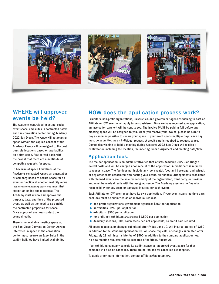





## WHERE will approved events be held?

The Academy controls all meeting, social event space, and suites in contracted hotels and the convention center during Academy 2022 San Diego. The venue will not reassign space without the explicit consent of the Academy. Events will be assigned to the best possible locations based on availability, on a first-come, first-served basis with the caveat that there are a multitude of competing requests for space.

If, because of space limitations at the Academy's contracted venues, an organization or company needs to secure space for an event or function at another host city venue *(not a contracted Academy space)* you must first submit an online space request. The Academy must review and approve the purpose, date, and time of the proposed event, as well as the need to go outside the contracted properties for space. Once approved, you may contact the venue directly.

There is no available meeting space at the San Diego Convention Center. Anyone interested in space at the convention center must reserve an Expo Suite in the exhibit hall. We have limited availability.

## HOW does the application process work?

Exhibitors, non-profit organizations, universities, and government agencies wishing to host an Affiliate or ICW event must apply to be considered. Once we have received your application, an invoice for payment will be sent to you. The invoice MUST be paid in full before any meeting space will be assigned to you. When you receive your invoice, please be sure to pay as soon as possible to secure your space. If your event spans multiple days, each day must be submitted as an individual request. A credit card is required to request space. Companies wishing to hold a meeting during Academy 2022 San Diego will receive a confirmation including the location, the meeting room assignment and meeting date/time.

#### Application fees:

The fee per application is an administrative fee that offsets Academy 2022 San Diego's overall costs and will be charged upon receipt of the application. A credit card is required to request space. The fee does not include any room rental, food and beverage, audiovisual, or any other costs associated with hosting your event. All financial arrangements associated with planned events are the sole responsibility of the organization, third party, or provider and must be made directly with the assigned venue. The Academy assumes no financial responsibility for any costs or damages incurred for such events.

Each Affiliate or ICW event must have its own application. If your event spans multiple days, each day must be submitted as an individual request.

- non-profit organizations, government agencies: \$250 per application
- universities: \$250 per application
- exhibitors: \$500 per application
- •for-profit non-exhibitors *(if approved)*: \$1,500 per application
- •Academy sections, SIGs, committees: fee not applicable, no credit card required

All space requests, or changes submitted after Friday, June 10, will incur a late fee of \$250 in addition to the standard application fee. All space requests, or changes submitted after Friday, July 29, will incur a late fee of \$500 in addition to the standard application fee. No new meeting requests will be accepted after Friday, August 26.

If an exhibiting company cancels its exhibit space, all approved event space for that company will also be cancelled. There are no refunds for cancelled event space.

To apply or for more information, contact affiliates@aaoptom.org.